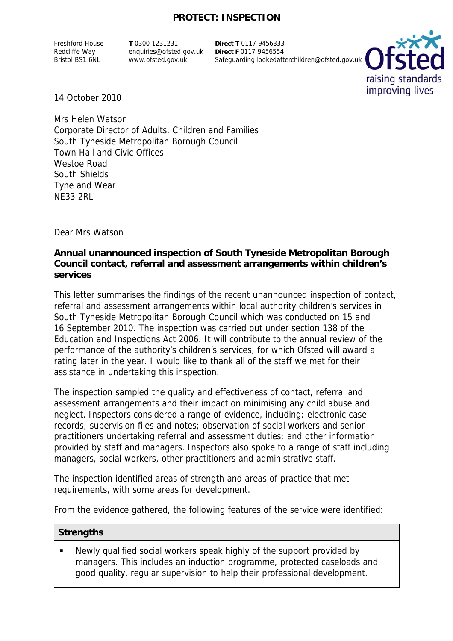## **PROTECT: INSPECTION**

Freshford House Redcliffe Way Bristol BS1 6NL

**T** 0300 1231231 enquiries@ofsted.gov.uk www.ofsted.gov.uk

**Direct T** 0117 9456333 **Direct F** 0117 9456554 Safeguarding.lookedafterchildren@ofsted.gov.uk



14 October 2010

Mrs Helen Watson Corporate Director of Adults, Children and Families South Tyneside Metropolitan Borough Council Town Hall and Civic Offices Westoe Road South Shields Tyne and Wear NE33 2RL

Dear Mrs Watson

### **Annual unannounced inspection of South Tyneside Metropolitan Borough Council contact, referral and assessment arrangements within children's services**

This letter summarises the findings of the recent unannounced inspection of contact, referral and assessment arrangements within local authority children's services in South Tyneside Metropolitan Borough Council which was conducted on 15 and 16 September 2010. The inspection was carried out under section 138 of the Education and Inspections Act 2006. It will contribute to the annual review of the performance of the authority's children's services, for which Ofsted will award a rating later in the year. I would like to thank all of the staff we met for their assistance in undertaking this inspection.

The inspection sampled the quality and effectiveness of contact, referral and assessment arrangements and their impact on minimising any child abuse and neglect. Inspectors considered a range of evidence, including: electronic case records; supervision files and notes; observation of social workers and senior practitioners undertaking referral and assessment duties; and other information provided by staff and managers. Inspectors also spoke to a range of staff including managers, social workers, other practitioners and administrative staff.

The inspection identified areas of strength and areas of practice that met requirements, with some areas for development.

From the evidence gathered, the following features of the service were identified:

#### **Strengths**

 Newly qualified social workers speak highly of the support provided by managers. This includes an induction programme, protected caseloads and good quality, regular supervision to help their professional development.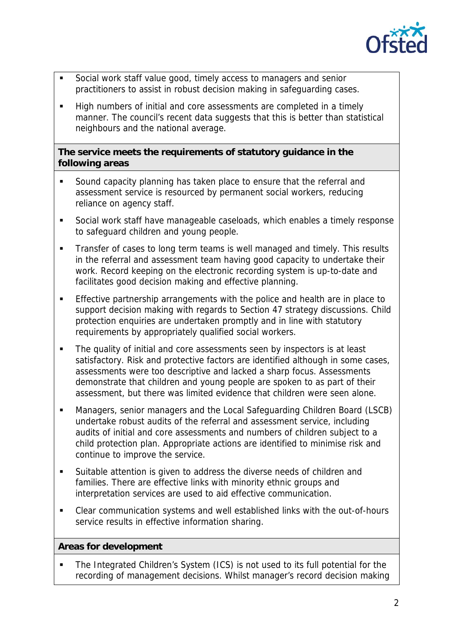

- Social work staff value good, timely access to managers and senior practitioners to assist in robust decision making in safeguarding cases.
- High numbers of initial and core assessments are completed in a timely manner. The council's recent data suggests that this is better than statistical neighbours and the national average.

## **The service meets the requirements of statutory guidance in the following areas**

- Sound capacity planning has taken place to ensure that the referral and assessment service is resourced by permanent social workers, reducing reliance on agency staff.
- Social work staff have manageable caseloads, which enables a timely response to safeguard children and young people.
- Transfer of cases to long term teams is well managed and timely. This results in the referral and assessment team having good capacity to undertake their work. Record keeping on the electronic recording system is up-to-date and facilitates good decision making and effective planning.
- **Effective partnership arrangements with the police and health are in place to** support decision making with regards to Section 47 strategy discussions. Child protection enquiries are undertaken promptly and in line with statutory requirements by appropriately qualified social workers.
- The quality of initial and core assessments seen by inspectors is at least satisfactory. Risk and protective factors are identified although in some cases, assessments were too descriptive and lacked a sharp focus. Assessments demonstrate that children and young people are spoken to as part of their assessment, but there was limited evidence that children were seen alone.
- Managers, senior managers and the Local Safeguarding Children Board (LSCB) undertake robust audits of the referral and assessment service, including audits of initial and core assessments and numbers of children subject to a child protection plan. Appropriate actions are identified to minimise risk and continue to improve the service.
- Suitable attention is given to address the diverse needs of children and families. There are effective links with minority ethnic groups and interpretation services are used to aid effective communication.
- Clear communication systems and well established links with the out-of-hours service results in effective information sharing.

# **Areas for development**

• The Integrated Children's System (ICS) is not used to its full potential for the recording of management decisions. Whilst manager's record decision making